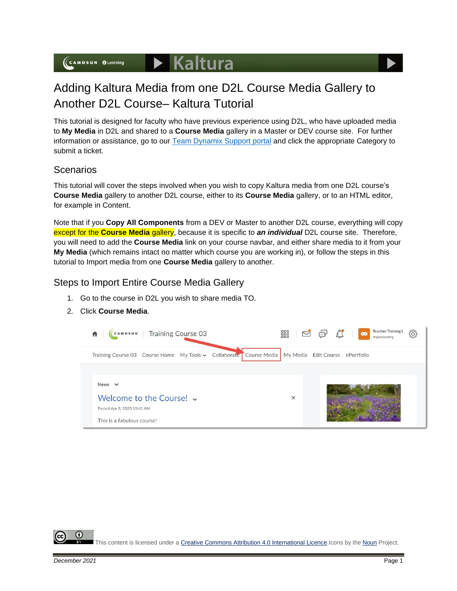

This tutorial is designed for faculty who have previous experience using D2L, who have uploaded media to **My Media** in D2L and shared to a **Course Media** gallery in a Master or DEV course site. For further information or assistance, go to our [Team Dynamix Support portal](https://camosun.teamdynamix.com/TDClient/67/Portal/Requests/ServiceCatalog?CategoryID=523) and click the appropriate Category to submit a ticket.

## **Scenarios**

This tutorial will cover the steps involved when you wish to copy Kaltura media from one D2L course's **Course Media** gallery to another D2L course, either to its **Course Media** gallery, or to an HTML editor, for example in Content.

Note that if you **Copy All Components** from a DEV or Master to another D2L course, everything will copy except for the **Course Media** gallery, because it is specific to *an individual* D2L course site. Therefore, you will need to add the **Course Media** link on your course navbar, and either share media to it from your **My Media** (which remains intact no matter which course you are working in), or follow the steps in this tutorial to Import media from one **Course Media** gallery to another.

## Steps to Import Entire Course Media Gallery

- 1. Go to the course in D2L you wish to share media TO.
- 2. Click **Course Media**.



 $\blacktriangleright$  Kaltura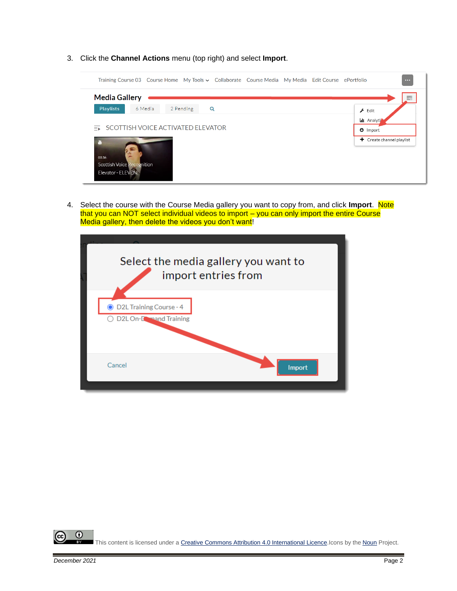3. Click the **Channel Actions** menu (top right) and select **Import**.



4. Select the course with the Course Media gallery you want to copy from, and click Import. Note that you can NOT select individual videos to import – you can only import the entire Course Media gallery, then delete the videos you don't want!

|                                                   | Select the media gallery you want to<br>import entries from |
|---------------------------------------------------|-------------------------------------------------------------|
| D2L Training Course - 4<br>D2L On-Lowand Training |                                                             |
| Cancel                                            | Import                                                      |

 $\odot$ This content is licensed under [a Creative Commons Attribution 4.0 International Licence.I](https://creativecommons.org/licenses/by/4.0/)cons by the [Noun](https://creativecommons.org/website-icons/) Project.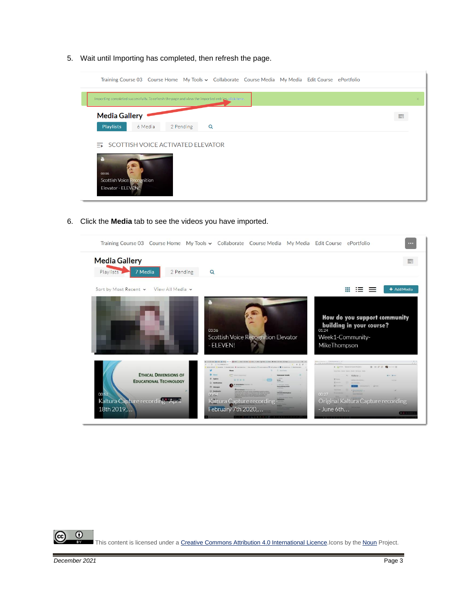5. Wait until Importing has completed, then refresh the page.



6. Click the **Media** tab to see the videos you have imported.

|                                                                                                                           | Training Course 03 Course Home My Tools v Collaborate Course Media My Media Edit Course ePortfolio                                                                    |                                                                                                                                                                                        | $\cdots$    |
|---------------------------------------------------------------------------------------------------------------------------|-----------------------------------------------------------------------------------------------------------------------------------------------------------------------|----------------------------------------------------------------------------------------------------------------------------------------------------------------------------------------|-------------|
| <b>Media Gallery</b><br>Playlists<br>7 Media<br>2 Pending                                                                 | $\alpha$                                                                                                                                                              |                                                                                                                                                                                        | 〓           |
| Sort by Most Recent v View All Media v                                                                                    | 03:36<br><b>Scottish Voice Recognition Elevator</b><br>- ELEVEN!                                                                                                      | How do you support community<br>building in your course?<br>01:24<br>Week1-Community-<br>MikeThompson                                                                                  | + Add Media |
| <b>ETHICAL DIMENSIONS OF</b><br><b>EDUCATIONAL TECHNOLOGY</b><br>00:52<br>Kaltura Capture recording - April<br>18th 2019, | <b>Dealer All Control</b> Metal<br><b>Gi Hi H (D)</b><br><b>Advertising the</b><br><b>El Bestmark</b><br>$0.010 -$<br>Kaltura Capture recording<br>February 7th 2020, | 1. 910 A 10-14<br>$B = B + C + C$<br>. Anerer Quinct Care Aubro-<br>- scalture -<br>$\mathbf{v}$ in $\mathbf{v}$<br>---<br>00:27<br>Original Kaltura Capture recording<br>$-$ June 6th |             |

 $\odot$ This content is licensed under [a Creative Commons Attribution 4.0 International Licence.I](https://creativecommons.org/licenses/by/4.0/)cons by the [Noun](https://creativecommons.org/website-icons/) Project.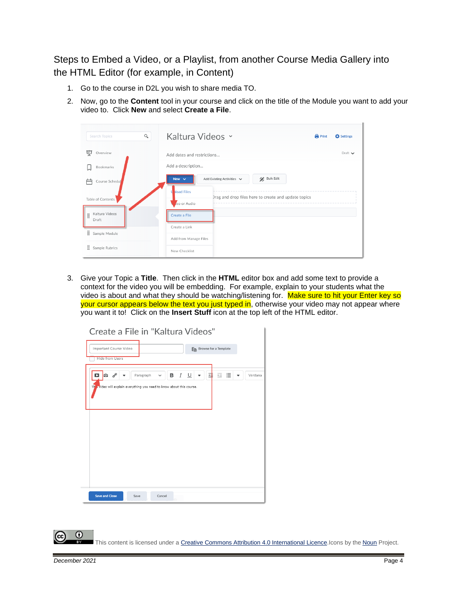Steps to Embed a Video, or a Playlist, from another Course Media Gallery into the HTML Editor (for example, in Content)

- 1. Go to the course in D2L you wish to share media TO.
- 2. Now, go to the **Content** tool in your course and click on the title of the Module you want to add your video to. Click **New** and select **Create a File**.

| $\alpha$<br>Search Topics    | Kaltura Videos ~                                                   | <b>Print</b> | <b>C</b> Settings           |
|------------------------------|--------------------------------------------------------------------|--------------|-----------------------------|
| 稟<br>Overview                | Add dates and restrictions                                         |              | Draft $\blacktriangleright$ |
| Bookmarks                    | Add a description                                                  |              |                             |
| Course Schedul               | Bulk Edit<br>Add Existing Activities v<br>New $\vee$               |              |                             |
| Table of Contents            | load Files<br>Drag and drop files here to create and update topics |              |                             |
| Kaltura Videos<br>H<br>Draft | eo or Audio<br>Create a File                                       |              |                             |
| Sample Module                | Create a Link                                                      |              |                             |
|                              | Add from Manage Files                                              |              |                             |
| ÷<br>Sample Rubrics          | New Checklist                                                      |              |                             |

3. Give your Topic a **Title**. Then click in the **HTML** editor box and add some text to provide a context for the video you will be embedding. For example, explain to your students what the video is about and what they should be watching/listening for. Make sure to hit your Enter key so your cursor appears below the text you just typed in, otherwise your video may not appear where you want it to! Click on the **Insert Stuff** icon at the top left of the HTML editor.



This content is licensed under [a Creative Commons Attribution 4.0 International Licence.I](https://creativecommons.org/licenses/by/4.0/)cons by the [Noun](https://creativecommons.org/website-icons/) Project.

0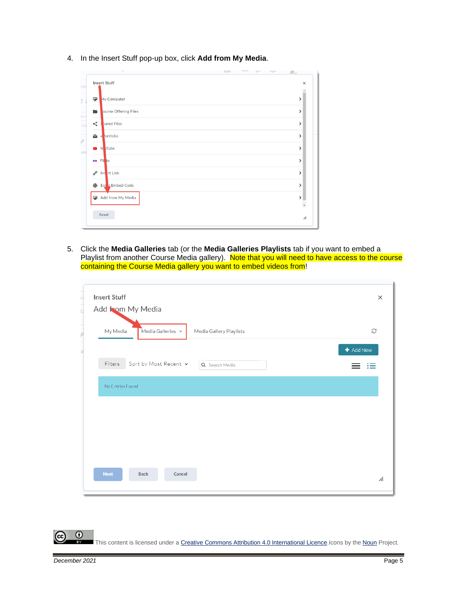4. In the Insert Stuff pop-up box, click **Add from My Media**.

| <b>Insert Stuff</b>        | $\times$ |
|----------------------------|----------|
| ÷<br>My Computer           | >        |
| ourse Offering Files<br>m  | ⋟        |
| nared Files<br>≺           | >        |
| <b>Portfolio</b><br>÷<br>e | >        |
| <sup>N</sup> d iTube       | >        |
| <b>ee</b> Flikr            | >        |
| o<br>Instart Link          | >        |
| Enter Embed Code<br>⊕      | >        |
| Add from My Media          | ⋟        |
|                            |          |

5. Click the **Media Galleries** tab (or the **Media Galleries Playlists** tab if you want to embed a Playlist from another Course Media gallery). Note that you will need to have access to the course containing the Course Media gallery you want to embed videos from!

| <b>Insert Stuff</b>                   |                         |             |
|---------------------------------------|-------------------------|-------------|
| Add from My Media                     |                         |             |
| Media Galleries Y<br>My Media         | Media Gallery Playlists | C           |
|                                       |                         | $+$ Add New |
| Sort by Most Recent $\sim$<br>Filters | Q Search Media          | d≡          |
| No Entries Found                      |                         |             |
|                                       |                         |             |
|                                       |                         |             |
|                                       |                         |             |
|                                       |                         |             |
|                                       |                         |             |
| <b>Next</b><br>Cancel<br>Back         |                         |             |

This content is licensed under [a Creative Commons Attribution 4.0 International Licence.I](https://creativecommons.org/licenses/by/4.0/)cons by the [Noun](https://creativecommons.org/website-icons/) Project.

 $\odot$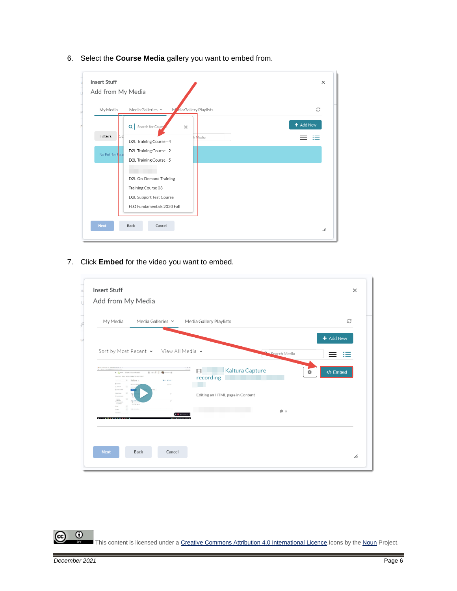| <b>Insert Stuff</b>  |                                              | ×         |
|----------------------|----------------------------------------------|-----------|
| Add from My Media    |                                              |           |
| My Media             | M dia Gallery Playlists<br>Media Galleries Y | C         |
|                      | Q Search for Cours<br>$\mathbf{x}$           | + Add New |
| <b>Sc</b><br>Filters | Media<br>D2L Training Course - 4             |           |
| No Entries Four      | D2L Training Course - 2                      |           |
|                      | D2L Training Course - 5                      |           |
|                      |                                              |           |
|                      | D2L On-Demand Training                       |           |
|                      | Training Course 03                           |           |
|                      | D2L Support Test Course                      |           |
|                      | FLO Fundamentals 2020 Fall                   |           |
|                      |                                              |           |
| <b>Next</b>          | Back<br>Cancel                               | h.        |

6. Select the **Course Media** gallery you want to embed from.

7. Click **Embed** for the video you want to embed.

| My Media                                                                              | Media Galleries v  | Media Gallery Playlists                                |              | C                  |
|---------------------------------------------------------------------------------------|--------------------|--------------------------------------------------------|--------------|--------------------|
|                                                                                       |                    |                                                        |              | + Add New          |
| Sort by Most Recent v View All Media v                                                |                    |                                                        |              |                    |
|                                                                                       |                    |                                                        | Search Media |                    |
| Commer Quicket & Docum Andulf or<br>larsing faws Gian ticks \$3.000 Wait<br>Kalturn v | $B = F G$ $B = -6$ | $\cdots$<br><b>Kaltura Capture</b><br>田<br>recording - | Ö.           | <b>/&gt;</b> Embed |
| <b>D</b> comp<br>O homes<br>M Lon                                                     |                    |                                                        |              |                    |
| <b>Links</b><br>$\frac{m_{\rm{B}}}{m_{\rm{B}}}$                                       |                    | Editing an HTML page in Content                        |              |                    |
| McRosky Ser<br>Attractors.<br>Town<br>O)                                              |                    |                                                        | $\bullet$ 0  |                    |
| . <b>.</b>                                                                            | $\mathbf{m}$       |                                                        |              |                    |
|                                                                                       |                    |                                                        |              |                    |
|                                                                                       |                    |                                                        |              |                    |

 $\overline{0}$ (cc This content is licensed under [a Creative Commons Attribution 4.0 International Licence.I](https://creativecommons.org/licenses/by/4.0/)cons by the [Noun](https://creativecommons.org/website-icons/) Project.